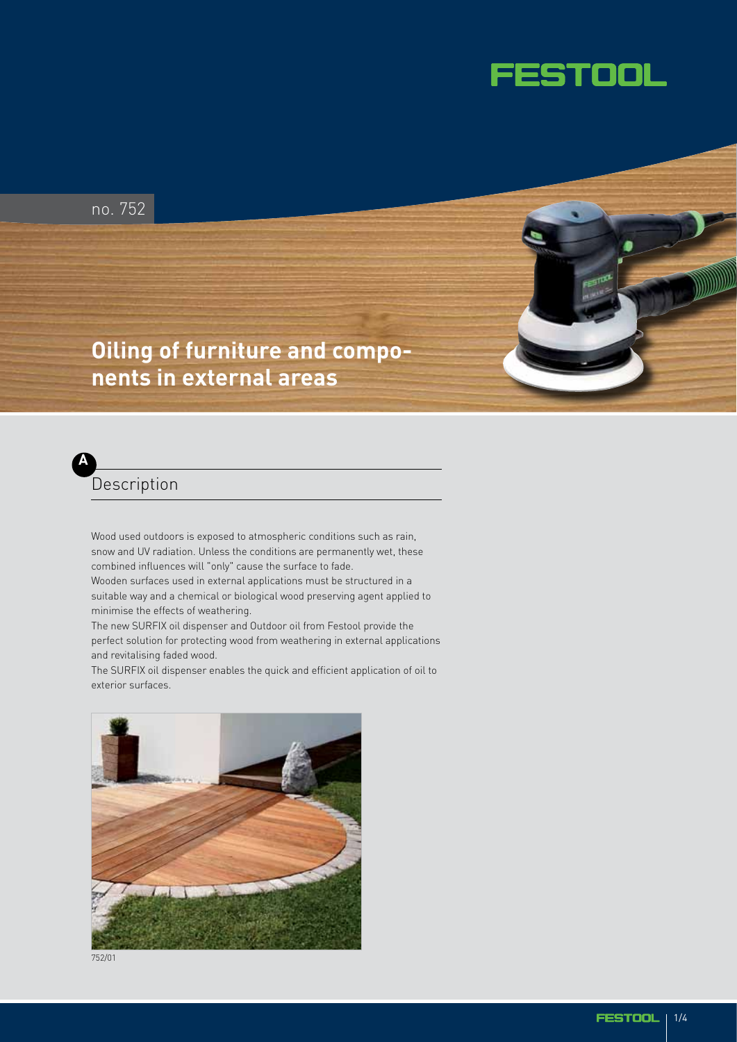

no. 752

## **Oiling of furniture and components in external areas**



Wood used outdoors is exposed to atmospheric conditions such as rain, snow and UV radiation. Unless the conditions are permanently wet, these combined influences will "only" cause the surface to fade. Wooden surfaces used in external applications must be structured in a suitable way and a chemical or biological wood preserving agent applied to minimise the effects of weathering.

The new SURFIX oil dispenser and Outdoor oil from Festool provide the perfect solution for protecting wood from weathering in external applications and revitalising faded wood.

The SURFIX oil dispenser enables the quick and efficient application of oil to exterior surfaces.



752/01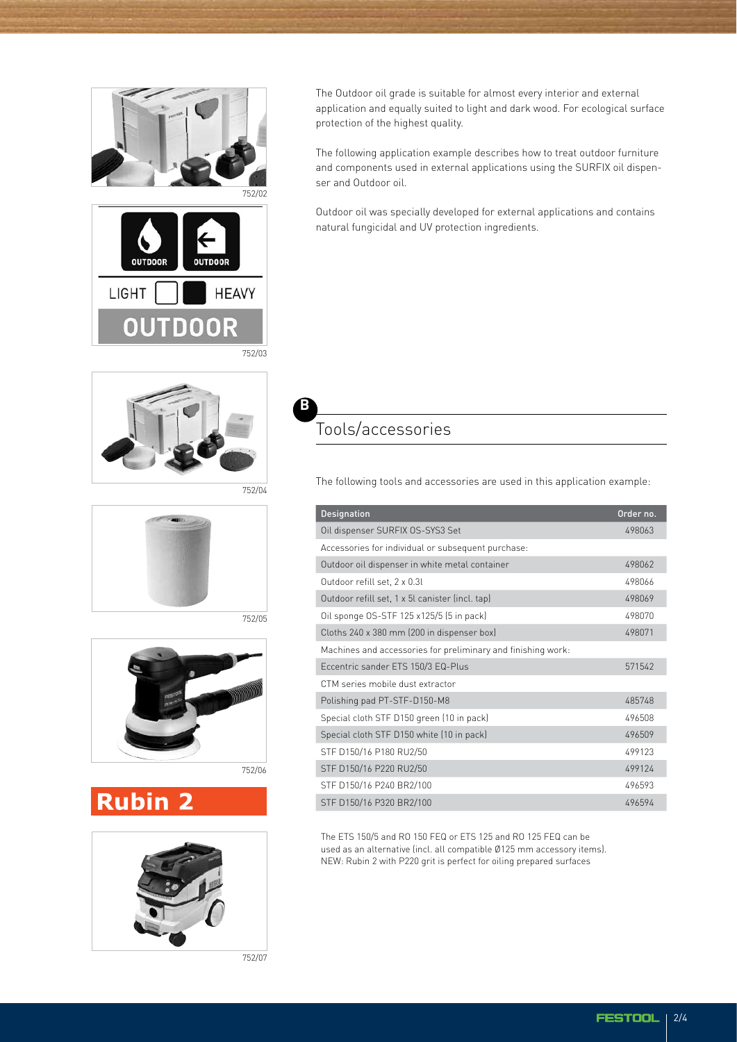



The Outdoor oil grade is suitable for almost every interior and external application and equally suited to light and dark wood. For ecological surface protection of the highest quality.

The following application example describes how to treat outdoor furniture and components used in external applications using the SURFIX oil dispenser and Outdoor oil.

Outdoor oil was specially developed for external applications and contains natural fungicidal and UV protection ingredients.

752/04

**B**



752/05



# **Rubin 2**



752/07

## Tools/accessories

The following tools and accessories are used in this application example:

| <b>Designation</b>                                           | Order no. |
|--------------------------------------------------------------|-----------|
| Oil dispenser SURFIX OS-SYS3 Set                             | 498063    |
| Accessories for individual or subsequent purchase:           |           |
| Outdoor oil dispenser in white metal container               | 498062    |
| Outdoor refill set, 2 x 0.3l                                 | 498066    |
| Outdoor refill set, 1 x 5l canister (incl. tap)              | 498069    |
| Oil sponge OS-STF 125 x125/5 (5 in pack)                     | 498070    |
| Cloths 240 x 380 mm (200 in dispenser box)                   | 498071    |
| Machines and accessories for preliminary and finishing work: |           |
| Eccentric sander ETS 150/3 EQ-Plus                           | 571542    |
| CTM series mobile dust extractor                             |           |
| Polishing pad PT-STF-D150-M8                                 | 485748    |
| Special cloth STF D150 green (10 in pack)                    | 496508    |
| Special cloth STF D150 white (10 in pack)                    | 496509    |
| STF D150/16 P180 RU2/50                                      | 499123    |
| STF D150/16 P220 RU2/50                                      | 499124    |
| STF D150/16 P240 BR2/100                                     | 496593    |
| STF D150/16 P320 BR2/100                                     | 496594    |

The ETS 150/5 and RO 150 FEQ or ETS 125 and RO 125 FEQ can be used as an alternative (incl. all compatible Ø125 mm accessory items). NEW: Rubin 2 with P220 grit is perfect for oiling prepared surfaces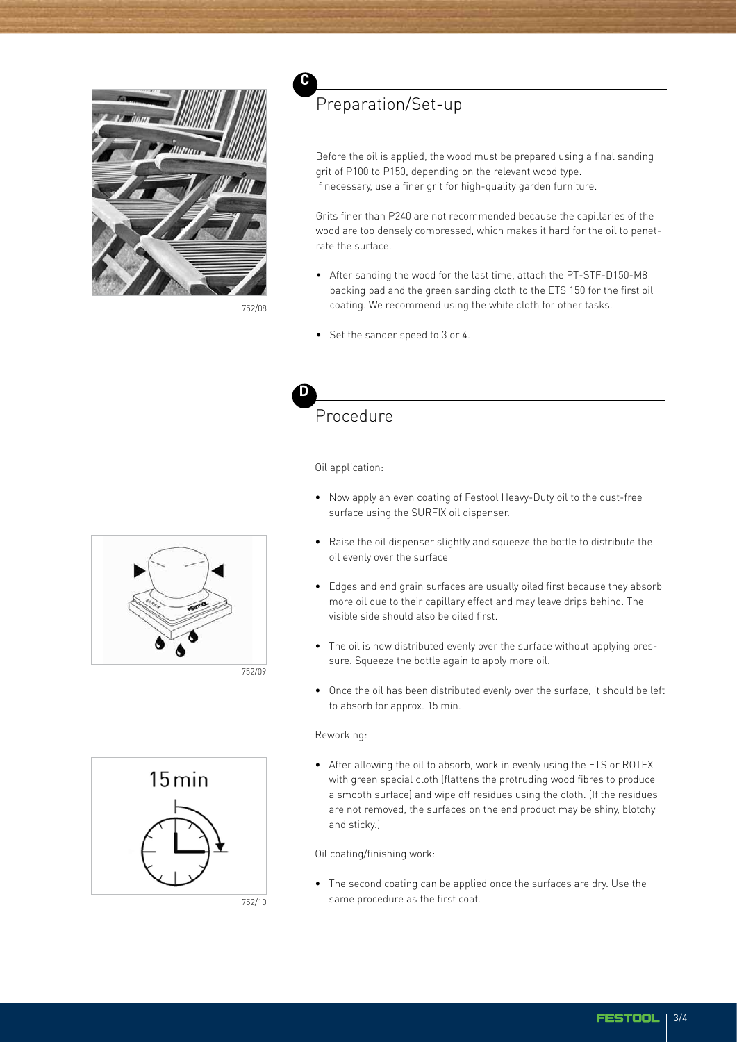

752/08

### Preparation/Set-up

Before the oil is applied, the wood must be prepared using a final sanding grit of P100 to P150, depending on the relevant wood type. If necessary, use a finer grit for high-quality garden furniture.

Grits finer than P240 are not recommended because the capillaries of the wood are too densely compressed, which makes it hard for the oil to penetrate the surface.

- After sanding the wood for the last time, attach the PT-STF-D150-M8 backing pad and the green sanding cloth to the ETS 150 for the first oil coating. We recommend using the white cloth for other tasks.
- Set the sander speed to 3 or 4.



**C**

## Procedure

Oil application:

- Now apply an even coating of Festool Heavy-Duty oil to the dust-free surface using the SURFIX oil dispenser.
- Raise the oil dispenser slightly and squeeze the bottle to distribute the oil evenly over the surface
- Edges and end grain surfaces are usually oiled first because they absorb more oil due to their capillary effect and may leave drips behind. The visible side should also be oiled first.
- The oil is now distributed evenly over the surface without applying pressure. Squeeze the bottle again to apply more oil.
- Once the oil has been distributed evenly over the surface, it should be left to absorb for approx. 15 min.

#### Reworking:

• After allowing the oil to absorb, work in evenly using the ETS or ROTEX with green special cloth (flattens the protruding wood fibres to produce a smooth surface) and wipe off residues using the cloth. (If the residues are not removed, the surfaces on the end product may be shiny, blotchy and sticky.)

Oil coating/finishing work:

• The second coating can be applied once the surfaces are dry. Use the same procedure as the first coat.





752/10